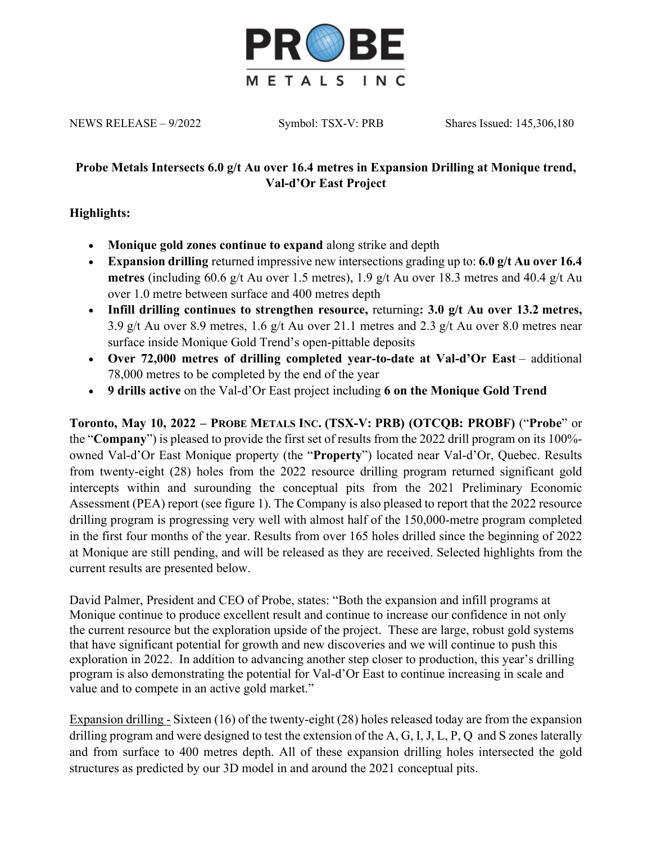

NEWS RELEASE – 9/2022 Symbol: TSX-V: PRB Shares Issued: 145,306,180

# **Probe Metals Intersects 6.0 g/t Au over 16.4 metres in Expansion Drilling at Monique trend, Val-d'Or East Project**

# **Highlights:**

- **Monique gold zones continue to expand** along strike and depth
- **Expansion drilling** returned impressive new intersections grading up to: **6.0 g/t Au over 16.4 metres** (including 60.6 g/t Au over 1.5 metres), 1.9 g/t Au over 18.3 metres and 40.4 g/t Au over 1.0 metre between surface and 400 metres depth
- **Infill drilling continues to strengthen resource,** returning**: 3.0 g/t Au over 13.2 metres,**  3.9 g/t Au over 8.9 metres, 1.6 g/t Au over 21.1 metres and 2.3 g/t Au over 8.0 metres near surface inside Monique Gold Trend's open-pittable deposits
- Over 72,000 metres of drilling completed year-to-date at Val-d'Or East additional 78,000 metres to be completed by the end of the year
- **9 drills active** on the Val-d'Or East project including **6 on the Monique Gold Trend**

**Toronto, May 10, 2022 – PROBE METALS INC. (TSX-V: PRB) (OTCQB: PROBF)** ("**Probe**" or the "**Company**") is pleased to provide the first set of results from the 2022 drill program on its 100% owned Val-d'Or East Monique property (the "**Property**") located near Val-d'Or, Quebec. Results from twenty-eight (28) holes from the 2022 resource drilling program returned significant gold intercepts within and surounding the conceptual pits from the 2021 Preliminary Economic Assessment (PEA) report (see figure 1). The Company is also pleased to report that the 2022 resource drilling program is progressing very well with almost half of the 150,000-metre program completed in the first four months of the year. Results from over 165 holes drilled since the beginning of 2022 at Monique are still pending, and will be released as they are received. Selected highlights from the current results are presented below.

David Palmer, President and CEO of Probe, states: "Both the expansion and infill programs at Monique continue to produce excellent result and continue to increase our confidence in not only the current resource but the exploration upside of the project. These are large, robust gold systems that have significant potential for growth and new discoveries and we will continue to push this exploration in 2022. In addition to advancing another step closer to production, this year's drilling program is also demonstrating the potential for Val-d'Or East to continue increasing in scale and value and to compete in an active gold market."

Expansion drilling - Sixteen (16) of the twenty-eight (28) holes released today are from the expansion drilling program and were designed to test the extension of the A, G, I, J, L, P, Q and S zones laterally and from surface to 400 metres depth. All of these expansion drilling holes intersected the gold structures as predicted by our 3D model in and around the 2021 conceptual pits.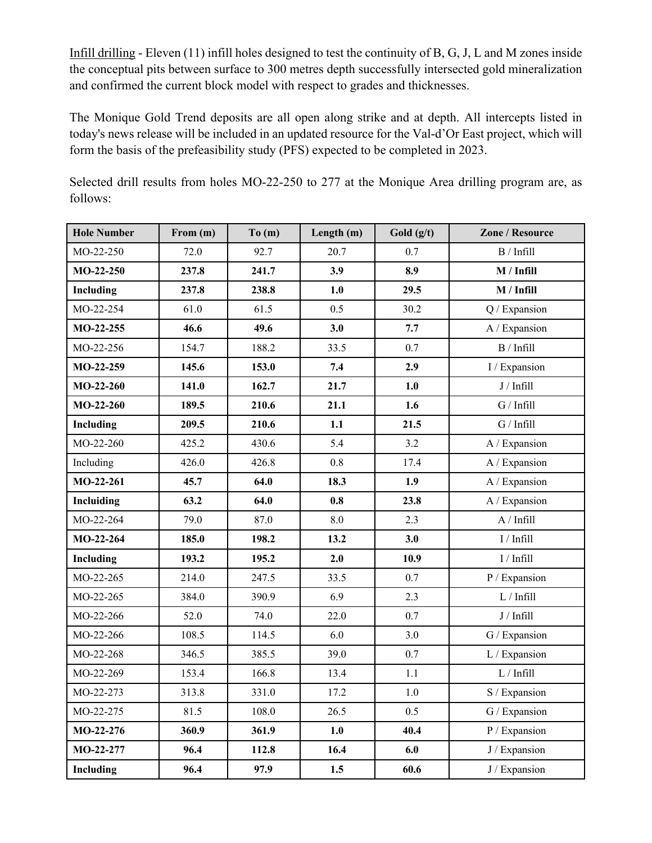Infill drilling - Eleven (11) infill holes designed to test the continuity of B, G, J, L and M zones inside the conceptual pits between surface to 300 metres depth successfully intersected gold mineralization and confirmed the current block model with respect to grades and thicknesses.

The Monique Gold Trend deposits are all open along strike and at depth. All intercepts listed in today's news release will be included in an updated resource for the Val-d'Or East project, which will form the basis of the prefeasibility study (PFS) expected to be completed in 2023.

Selected drill results from holes MO-22-250 to 277 at the Monique Area drilling program are, as follows:

| <b>Hole Number</b> | From (m) | To(m) | Length (m) | Gold $(g/t)$ | Zone / Resource        |
|--------------------|----------|-------|------------|--------------|------------------------|
| MO-22-250          | 72.0     | 92.7  | 20.7       | 0.7          | B / Infill             |
| $MO-22-250$        | 237.8    | 241.7 | 3.9        | 8.9          | M / Infill             |
| Including          | 237.8    | 238.8 | 1.0        | 29.5         | M / Infill             |
| MO-22-254          | 61.0     | 61.5  | 0.5        | 30.2         | Q / Expansion          |
| MO-22-255          | 46.6     | 49.6  | 3.0        | 7.7          | A / Expansion          |
| MO-22-256          | 154.7    | 188.2 | 33.5       | 0.7          | B / Infill             |
| MO-22-259          | 145.6    | 153.0 | 7.4        | 2.9          | I / Expansion          |
| $MO-22-260$        | 141.0    | 162.7 | 21.7       | 1.0          | J / Infill             |
| $MO-22-260$        | 189.5    | 210.6 | 21.1       | 1.6          | G / Infill             |
| Including          | 209.5    | 210.6 | 1.1        | 21.5         | G / Infill             |
| MO-22-260          | 425.2    | 430.6 | 5.4        | 3.2          | A / Expansion          |
| Including          | 426.0    | 426.8 | 0.8        | 17.4         | A / Expansion          |
| $MO-22-261$        | 45.7     | 64.0  | 18.3       | 1.9          | A / Expansion          |
| Incluiding         | 63.2     | 64.0  | 0.8        | 23.8         | A / Expansion          |
| MO-22-264          | 79.0     | 87.0  | 8.0        | 2.3          | A / Infill             |
| MO-22-264          | 185.0    | 198.2 | 13.2       | 3.0          | $\rm I$ / $\rm Infill$ |
| Including          | 193.2    | 195.2 | 2.0        | 10.9         | I / Infill             |
| MO-22-265          | 214.0    | 247.5 | 33.5       | 0.7          | P / Expansion          |
| MO-22-265          | 384.0    | 390.9 | 6.9        | 2.3          | $\mathbf{L}$ / Infill  |
| MO-22-266          | 52.0     | 74.0  | 22.0       | 0.7          | $J/$ Infill            |
| MO-22-266          | 108.5    | 114.5 | 6.0        | 3.0          | G / Expansion          |
| MO-22-268          | 346.5    | 385.5 | 39.0       | 0.7          | L / Expansion          |
| MO-22-269          | 153.4    | 166.8 | 13.4       | $1.1\,$      | $\mathbf{L}$ / Infill  |
| MO-22-273          | 313.8    | 331.0 | 17.2       | $1.0\,$      | S / Expansion          |
| MO-22-275          | 81.5     | 108.0 | 26.5       | 0.5          | G / Expansion          |
| MO-22-276          | 360.9    | 361.9 | 1.0        | 40.4         | P / Expansion          |
| MO-22-277          | 96.4     | 112.8 | 16.4       | 6.0          | J / Expansion          |
| Including          | 96.4     | 97.9  | 1.5        | 60.6         | J / Expansion          |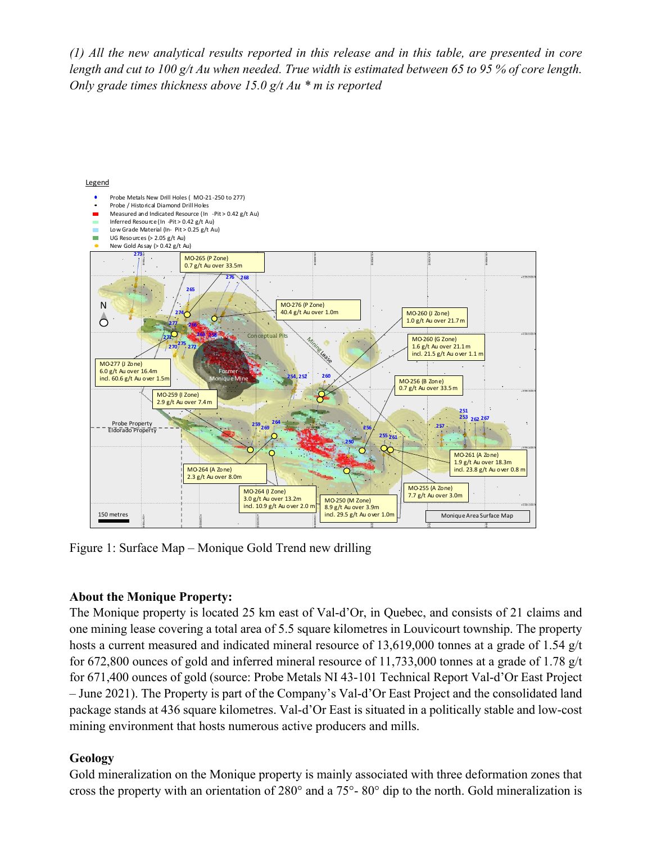*(1) All the new analytical results reported in this release and in this table, are presented in core length and cut to 100 g/t Au when needed. True width is estimated between 65 to 95 % of core length. Only grade times thickness above 15.0 g/t Au \* m is reported*



Figure 1: Surface Map – Monique Gold Trend new drilling

### **About the Monique Property:**

The Monique property is located 25 km east of Val-d'Or, in Quebec, and consists of 21 claims and one mining lease covering a total area of 5.5 square kilometres in Louvicourt township. The property hosts a current measured and indicated mineral resource of 13,619,000 tonnes at a grade of 1.54 g/t for 672,800 ounces of gold and inferred mineral resource of 11,733,000 tonnes at a grade of 1.78 g/t for 671,400 ounces of gold (source: Probe Metals NI 43-101 Technical Report Val-d'Or East Project – June 2021). The Property is part of the Company's Val-d'Or East Project and the consolidated land package stands at 436 square kilometres. Val-d'Or East is situated in a politically stable and low-cost mining environment that hosts numerous active producers and mills.

# **Geology**

Gold mineralization on the Monique property is mainly associated with three deformation zones that cross the property with an orientation of 280° and a 75°- 80° dip to the north. Gold mineralization is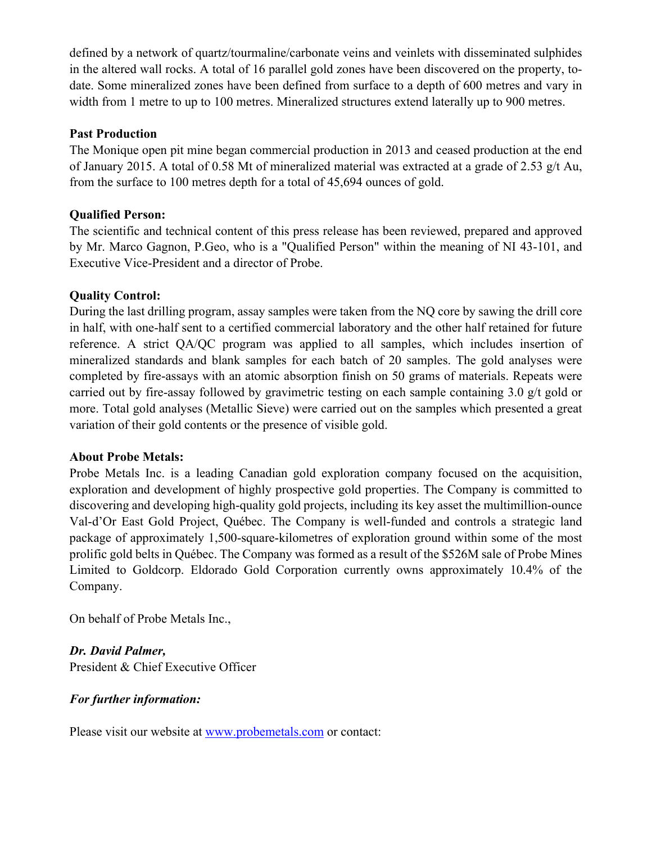defined by a network of quartz/tourmaline/carbonate veins and veinlets with disseminated sulphides in the altered wall rocks. A total of 16 parallel gold zones have been discovered on the property, todate. Some mineralized zones have been defined from surface to a depth of 600 metres and vary in width from 1 metre to up to 100 metres. Mineralized structures extend laterally up to 900 metres.

## **Past Production**

The Monique open pit mine began commercial production in 2013 and ceased production at the end of January 2015. A total of 0.58 Mt of mineralized material was extracted at a grade of 2.53 g/t Au, from the surface to 100 metres depth for a total of 45,694 ounces of gold.

# **Qualified Person:**

The scientific and technical content of this press release has been reviewed, prepared and approved by Mr. Marco Gagnon, P.Geo, who is a "Qualified Person" within the meaning of NI 43-101, and Executive Vice-President and a director of Probe.

# **Quality Control:**

During the last drilling program, assay samples were taken from the NQ core by sawing the drill core in half, with one-half sent to a certified commercial laboratory and the other half retained for future reference. A strict QA/QC program was applied to all samples, which includes insertion of mineralized standards and blank samples for each batch of 20 samples. The gold analyses were completed by fire-assays with an atomic absorption finish on 50 grams of materials. Repeats were carried out by fire-assay followed by gravimetric testing on each sample containing 3.0 g/t gold or more. Total gold analyses (Metallic Sieve) were carried out on the samples which presented a great variation of their gold contents or the presence of visible gold.

### **About Probe Metals:**

Probe Metals Inc. is a leading Canadian gold exploration company focused on the acquisition, exploration and development of highly prospective gold properties. The Company is committed to discovering and developing high-quality gold projects, including its key asset the multimillion-ounce Val-d'Or East Gold Project, Québec. The Company is well-funded and controls a strategic land package of approximately 1,500-square-kilometres of exploration ground within some of the most prolific gold belts in Québec. The Company was formed as a result of the \$526M sale of Probe Mines Limited to Goldcorp. Eldorado Gold Corporation currently owns approximately 10.4% of the Company.

On behalf of Probe Metals Inc.,

*Dr. David Palmer,* President & Chief Executive Officer

# *For further information:*

Please visit our website at www.probemetals.com or contact: